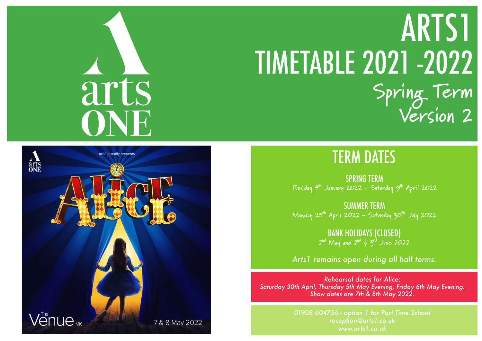## TERM DATES

SPRING TERM **Tuesday 4th January 2022 - Saturday 9th April 2022**

# arts ONH

# TIMETABLE 2021 -2022 **Spring Term Version 2** ARTS1



SUMMER TERM **Monday 25th April 2022 - Saturday 30th July 2022**

> BANK HOLIDAYS (CLOSED) **2nd May and 2nd & 3rd June 2022**

*Arts1 remains open during all half terms.*

*01908 604756 - option 1 for Part Time School reception@arts1.co.uk www.arts1.co.uk*

*Rehearsal dates for Alice: Saturday 30th April, Thursday 5th May Evening, Friday 6th May Evening. Show dates are 7th & 8th May 2022.*